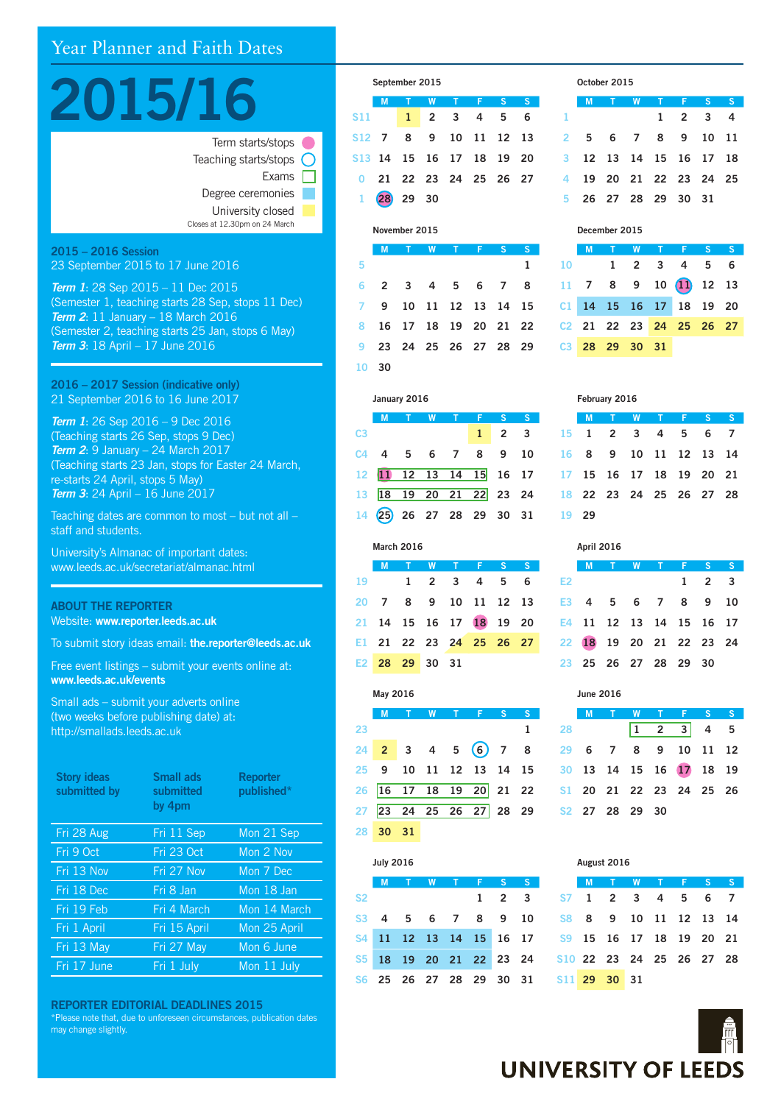# Year Planner and Faith Dates



| Teaching starts/stops $\bigcap$ |
|---------------------------------|
| Exams                           |
| Degree ceremonies               |
| University closed               |
| Closes at 12.30pm on 24 March   |
|                                 |

#### 2015 – 2016 Session 23 September 2015 to 17 June 2016

*Term 1*: 28 Sep 2015 – 11 Dec 2015 (Semester 1, teaching starts 28 Sep, stops 11 Dec) *Term 2*: 11 January – 18 March 2016 (Semester 2, teaching starts 25 Jan, stops 6 May) *Term 3*: 18 April – 17 June 2016

2016 – 2017 Session (indicative only) 21 September 2016 to 16 June 2017

*Term 1*: 26 Sep 2016 – 9 Dec 2016 (Teaching starts 26 Sep, stops 9 Dec) *Term 2*: 9 January – 24 March 2017 (Teaching starts 23 Jan, stops for Easter 24 March, re-starts 24 April, stops 5 May) *Term 3*: 24 April – 16 June 2017

Teaching dates are common to most – but not all – staff and students.

University's Almanac of important dates: www.leeds.ac.uk/secretariat/almanac.html

# ABOUT THE REPORTER Website: www.reporter.leeds.ac.uk

To submit story ideas email: the.reporter@leeds.ac.uk

Free event listings – submit your events online at: www.leeds.ac.uk/events

Small ads – submit your adverts online (two weeks before publishing date) at: http://smallads.leeds.ac.uk

| <b>Story ideas</b><br>submitted by | Small ads<br>submitted<br>by 4pm | <b>Reporter</b><br>published* |
|------------------------------------|----------------------------------|-------------------------------|
| Fri 28 Aug                         | Fri 11 Sep                       | Mon 21 Sep                    |
| Fri 9 Oct                          | Fri 23 Oct                       | Mon 2 Nov                     |
| Fri 13 Nov                         | Fri 27 Nov                       | Mon 7 Dec                     |
| Fri 18 Dec                         | Fri 8 Jan                        | Mon 18 Jan                    |
| Fri 19 Feb                         | Fri 4 March                      | Mon 14 March                  |
| Fri 1 April                        | Fri 15 April                     | Mon 25 April                  |
| Fri 13 May                         | Fri 27 May                       | Mon 6 June                    |
| Fri 17 June                        | Fri 1 July                       | Mon 11 July                   |

REPORTER EDITORIAL DEADLINES 2015

\*Please note that, due to unforeseen circumstances, publication dates may change slightly.

|              | September 2015            |       |           |                |   |          |    |  |  |  |  |
|--------------|---------------------------|-------|-----------|----------------|---|----------|----|--|--|--|--|
|              | M                         |       |           | W <sub>T</sub> | F | <b>S</b> | S. |  |  |  |  |
| <b>S11</b>   |                           |       | 1 2 3 4 5 |                |   |          | 6  |  |  |  |  |
|              | S12 7 8 9 10 11 12 13     |       |           |                |   |          |    |  |  |  |  |
|              | \$13 14 15 16 17 18 19 20 |       |           |                |   |          |    |  |  |  |  |
|              | 0 21 22 23 24 25 26 27    |       |           |                |   |          |    |  |  |  |  |
| $\mathbf{1}$ | <b>28</b>                 | 29 30 |           |                |   |          |    |  |  |  |  |

#### November 2015

|    |       | M T W T F S            |  |  | <sub>S</sub> |
|----|-------|------------------------|--|--|--------------|
| -5 |       |                        |  |  | 1            |
|    |       | 6 2 3 4 5 6 7 8        |  |  |              |
|    |       | 7 9 10 11 12 13 14 15  |  |  |              |
|    |       | 8 16 17 18 19 20 21 22 |  |  |              |
|    |       | 9 23 24 25 26 27 28 29 |  |  |              |
|    | 10 30 |                        |  |  |              |

|        | January 2016              |  |   |  |                      |                |    |  |  |  |  |
|--------|---------------------------|--|---|--|----------------------|----------------|----|--|--|--|--|
|        | M                         |  | W |  |                      | S.             | S  |  |  |  |  |
| C3     |                           |  |   |  | $\mathbf{1}$         | $\overline{2}$ | -3 |  |  |  |  |
|        | $C4$ 4 5 6 7              |  |   |  | 8                    | 9              | 10 |  |  |  |  |
|        | 12 11 12 13 14 15 16 17   |  |   |  |                      |                |    |  |  |  |  |
| $13-1$ |                           |  |   |  | 18 19 20 21 22 23 24 |                |    |  |  |  |  |
|        | 14 (25) 26 27 28 29 30 31 |  |   |  |                      |                |    |  |  |  |  |

|  |                |  |                         | MTWTFSSI |
|--|----------------|--|-------------------------|----------|
|  |                |  | 19 1 2 3 4 5 6          |          |
|  |                |  | 20 7 8 9 10 11 12 13    |          |
|  |                |  | 21 14 15 16 17 18 19 20 |          |
|  |                |  | E1 21 22 23 24 25 26 27 |          |
|  | E2 28 29 30 31 |  |                         |          |

March 2016

|    | May 2016 |        |  |  |                         |              |   |  |  |  |  |
|----|----------|--------|--|--|-------------------------|--------------|---|--|--|--|--|
|    | M        | $\top$ |  |  | W T F                   | $^{\circ}$ S | S |  |  |  |  |
| 23 |          |        |  |  |                         |              | 1 |  |  |  |  |
|    |          |        |  |  | $24$ 2 3 4 5 6 7 8      |              |   |  |  |  |  |
|    |          |        |  |  | 25 9 10 11 12 13 14 15  |              |   |  |  |  |  |
|    |          |        |  |  | 26 16 17 18 19 20 21 22 |              |   |  |  |  |  |
|    |          |        |  |  | 27 23 24 25 26 27 28 29 |              |   |  |  |  |  |
|    | 28 30 31 |        |  |  |                         |              |   |  |  |  |  |

|                | <b>July 2016</b>        |  |   |   |   |                |                         |  |  |  |  |
|----------------|-------------------------|--|---|---|---|----------------|-------------------------|--|--|--|--|
|                | M                       |  | W | ◆ | Œ | S              | S                       |  |  |  |  |
| S <sub>2</sub> |                         |  |   |   | 1 | $\overline{2}$ | $\overline{\mathbf{3}}$ |  |  |  |  |
|                | S3 4 5 6 7              |  |   |   | 8 | 9              | 10                      |  |  |  |  |
|                | S4 11 12 13 14 15 16 17 |  |   |   |   |                |                         |  |  |  |  |
|                | S5 18 19 20 21 22 23 24 |  |   |   |   |                |                         |  |  |  |  |
|                | S6 25 26 27 28 29       |  |   |   |   | 30             | - 31                    |  |  |  |  |

# October 2015

|   | M T W T F S S          |  |                 |  |
|---|------------------------|--|-----------------|--|
| 1 |                        |  | $1 \t2 \t3 \t4$ |  |
|   | 2 5 6 7 8 9 10 11      |  |                 |  |
|   | 3 12 13 14 15 16 17 18 |  |                 |  |
|   | 4 19 20 21 22 23 24 25 |  |                 |  |
|   | 5 26 27 28 29 30 31    |  |                 |  |

#### December 2015

|  |                | M T W T F S S           |  |
|--|----------------|-------------------------|--|
|  |                | $10$ 1 2 3 4 5 6        |  |
|  |                | 11 7 8 9 10 11 12 13    |  |
|  |                | C1 14 15 16 17 18 19 20 |  |
|  |                | C2 21 22 23 24 25 26 27 |  |
|  | C3 28 29 30 31 |                         |  |

|        | February 2016 |     |   |                         |   |   |    |  |  |  |  |
|--------|---------------|-----|---|-------------------------|---|---|----|--|--|--|--|
|        | M             | Û   | W | т                       | F | ♦ | S  |  |  |  |  |
| $15 -$ | $\mathbf{1}$  | 2 3 |   | - 4                     | 5 | 6 | 7  |  |  |  |  |
| 16     | 8             | - 9 |   | 10 11 12 13             |   |   | 14 |  |  |  |  |
| 17     |               |     |   | 15 16 17 18 19 20 21    |   |   |    |  |  |  |  |
|        |               |     |   | 18 22 23 24 25 26 27 28 |   |   |    |  |  |  |  |
| 19     | 29            |     |   |                         |   |   |    |  |  |  |  |
|        |               |     |   |                         |   |   |    |  |  |  |  |

|                |  | M T W T F S S           |                     |  |
|----------------|--|-------------------------|---------------------|--|
| E <sub>2</sub> |  |                         | $1 \quad 2 \quad 3$ |  |
|                |  | E3 4 5 6 7 8 9 10       |                     |  |
|                |  | E4 11 12 13 14 15 16 17 |                     |  |
|                |  | 22 18 19 20 21 22 23 24 |                     |  |
|                |  | 23 25 26 27 28 29 30    |                     |  |
|                |  |                         |                     |  |

April 2016

|    | <b>June 2016</b>        |  |   |             |   |                |          |  |  |  |  |
|----|-------------------------|--|---|-------------|---|----------------|----------|--|--|--|--|
|    | M                       |  | W |             | ♦ | <b>S</b>       | $\sim$ S |  |  |  |  |
| 28 |                         |  | 1 | $2 \quad 3$ |   | $\overline{4}$ | 5        |  |  |  |  |
|    | 29 6 7 8 9 10 11 12     |  |   |             |   |                |          |  |  |  |  |
|    | 30 13 14 15 16 17 18 19 |  |   |             |   |                |          |  |  |  |  |
|    | S1 20 21 22 23 24 25 26 |  |   |             |   |                |          |  |  |  |  |
|    | S2 27 28 29 30          |  |   |             |   |                |          |  |  |  |  |
|    |                         |  |   |             |   |                |          |  |  |  |  |

| August ZOTO |  |  |                          |  |  |                                                                                                                |  |  |  |  |  |
|-------------|--|--|--------------------------|--|--|----------------------------------------------------------------------------------------------------------------|--|--|--|--|--|
|             |  |  |                          |  |  |                                                                                                                |  |  |  |  |  |
|             |  |  |                          |  |  |                                                                                                                |  |  |  |  |  |
|             |  |  |                          |  |  |                                                                                                                |  |  |  |  |  |
| S9 S        |  |  |                          |  |  |                                                                                                                |  |  |  |  |  |
|             |  |  |                          |  |  |                                                                                                                |  |  |  |  |  |
|             |  |  |                          |  |  |                                                                                                                |  |  |  |  |  |
|             |  |  | S <sub>11</sub> 29 30 31 |  |  | M T W T F S S<br>S7 1 2 3 4 5 6 7<br>S8 8 9 10 11 12 13 14<br>15 16 17 18 19 20 21<br>S10 22 23 24 25 26 27 28 |  |  |  |  |  |

 $A_1, A_2, A_3, A_4, A_5$